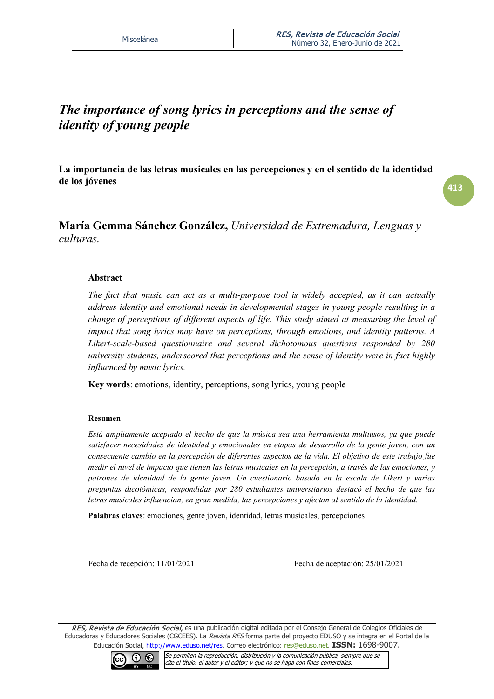# *The importance of song lyrics in perceptions and the sense of identity of young people*

**La importancia de las letras musicales en las percepciones y en el sentido de la identidad de los jóvenes** 

**María Gemma Sánchez González,** *Universidad de Extremadura, Lenguas y culturas.*

#### **Abstract**

*The fact that music can act as a multi-purpose tool is widely accepted, as it can actually address identity and emotional needs in developmental stages in young people resulting in a change of perceptions of different aspects of life. This study aimed at measuring the level of impact that song lyrics may have on perceptions, through emotions, and identity patterns. A Likert-scale-based questionnaire and several dichotomous questions responded by 280 university students, underscored that perceptions and the sense of identity were in fact highly influenced by music lyrics.*

**Key words**: emotions, identity, perceptions, song lyrics, young people

#### **Resumen**

*Está ampliamente aceptado el hecho de que la música sea una herramienta multiusos, ya que puede satisfacer necesidades de identidad y emocionales en etapas de desarrollo de la gente joven, con un consecuente cambio en la percepción de diferentes aspectos de la vida. El objetivo de este trabajo fue medir el nivel de impacto que tienen las letras musicales en la percepción, a través de las emociones, y patrones de identidad de la gente joven. Un cuestionario basado en la escala de Likert y varias preguntas dicotómicas, respondidas por 280 estudiantes universitarios destacó el hecho de que las letras musicales influencian, en gran medida, las percepciones y afectan al sentido de la identidad.*

**Palabras claves**: emociones, gente joven, identidad, letras musicales, percepciones

Fecha de recepción: 11/01/2021 Fecha de aceptación: 25/01/2021

RES, Revista de Educación Social, es una publicación digital editada por el Consejo General de Colegios Oficiales de Educadoras y Educadores Sociales (CGCEES). La Revista RES forma parte del proyecto EDUSO y se integra en el Portal de la Educación Social, [http://www.eduso.net/res.](http://www.eduso.net/res) Correo electrónico: [res@eduso.net.](mailto:res@eduso.net) **ISSN:** 1698-9007.

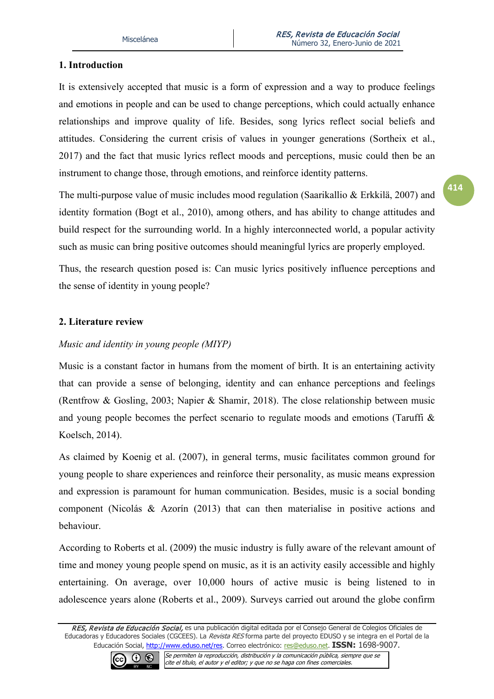# **1. Introduction**

It is extensively accepted that music is a form of expression and a way to produce feelings and emotions in people and can be used to change perceptions, which could actually enhance relationships and improve quality of life. Besides, song lyrics reflect social beliefs and attitudes. Considering the current crisis of values in younger generations (Sortheix et al., 2017) and the fact that music lyrics reflect moods and perceptions, music could then be an instrument to change those, through emotions, and reinforce identity patterns.

The multi-purpose value of music includes mood regulation (Saarikallio & Erkkilä, 2007) and identity formation (Bogt et al., 2010), among others, and has ability to change attitudes and build respect for the surrounding world. In a highly interconnected world, a popular activity such as music can bring positive outcomes should meaningful lyrics are properly employed.

Thus, the research question posed is: Can music lyrics positively influence perceptions and the sense of identity in young people?

## **2. Literature review**

## *Music and identity in young people (MIYP)*

Music is a constant factor in humans from the moment of birth. It is an entertaining activity that can provide a sense of belonging, identity and can enhance perceptions and feelings (Rentfrow & Gosling, 2003; Napier & Shamir, 2018). The close relationship between music and young people becomes the perfect scenario to regulate moods and emotions (Taruffi & Koelsch, 2014).

As claimed by Koenig et al. (2007), in general terms, music facilitates common ground for young people to share experiences and reinforce their personality, as music means expression and expression is paramount for human communication. Besides, music is a social bonding component (Nicolás & Azorín (2013) that can then materialise in positive actions and behaviour.

According to Roberts et al. (2009) the music industry is fully aware of the relevant amount of time and money young people spend on music, as it is an activity easily accessible and highly entertaining. On average, over 10,000 hours of active music is being listened to in adolescence years alone (Roberts et al., [2009\)](https://www.tandfonline.com/doi/full/10.1080/02673843.2011.650182?src=recsys). Surveys carried out around the globe confirm

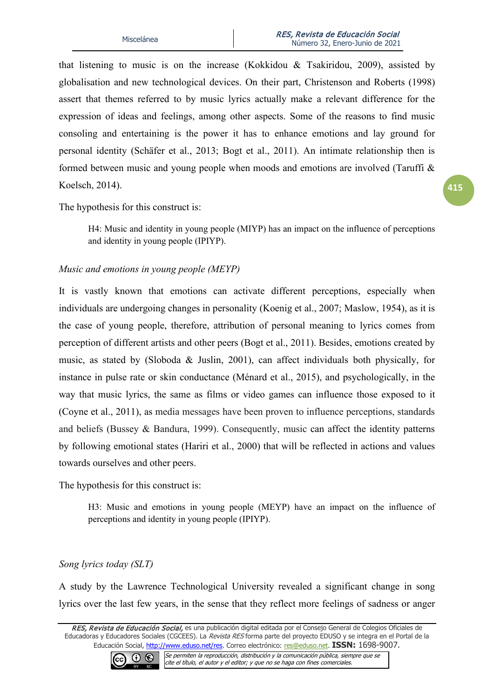that listening to music is on the increase (Kokkidou & Tsakiridou, 2009), assisted by globalisation and new technological devices. On their part, Christenson and Roberts (1998) assert that themes referred to by music lyrics actually make a relevant difference for the expression of ideas and feelings, among other aspects. Some of the reasons to find music consoling and entertaining is the power it has to enhance emotions and lay ground for personal identity (Schäfer et al., 2013; Bogt et al., 2011). An intimate relationship then is formed between music and young people when moods and emotions are involved (Taruffi & Koelsch, 2014).

The hypothesis for this construct is:

H4: Music and identity in young people (MIYP) has an impact on the influence of perceptions and identity in young people (IPIYP).

## *Music and emotions in young people (MEYP)*

It is vastly known that emotions can activate different perceptions, especially when individuals are undergoing changes in personality (Koenig et al., 2007; Maslow, 1954), as it is the case of young people, therefore, attribution of personal meaning to lyrics comes from perception of different artists and other peers (Bogt et al., 2011). Besides, emotions created by music, as stated by (Sloboda & Juslin, 2001), can affect individuals both physically, for instance in pulse rate or skin conductance (Ménard et al., 2015), and psychologically, in the way that music lyrics, the same as films or video games can influence those exposed to it (Coyne et al., 2011), as media messages have been proven to influence perceptions, standards and beliefs (Bussey & Bandura, 1999). Consequently, music can affect the identity patterns by following emotional states (Hariri et al., 2000) that will be reflected in actions and values towards ourselves and other peers.

The hypothesis for this construct is:

H3: Music and emotions in young people (MEYP) have an impact on the influence of perceptions and identity in young people (IPIYP).

## *Song lyrics today (SLT)*

A study by the Lawrence Technological University revealed a significant change in song lyrics over the last few years, in the sense that they reflect more feelings of sadness or anger

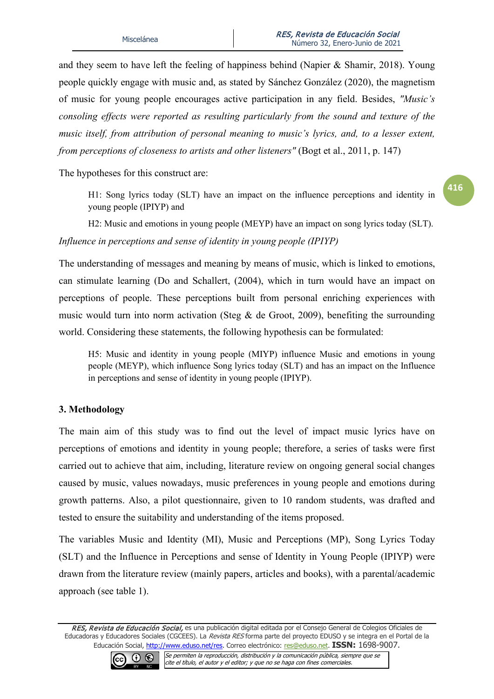and they seem to have left the feeling of happiness behind (Napier & Shamir, 2018). Young people quickly engage with music and, as stated by Sánchez González (2020), the magnetism of music for young people encourages active participation in any field. Besides, *"Music's consoling effects were reported as resulting particularly from the sound and texture of the music itself, from attribution of personal meaning to music's lyrics, and, to a lesser extent, from perceptions of closeness to artists and other listeners"* (Bogt et al., 2011, p. 147)

The hypotheses for this construct are:

H1: Song lyrics today (SLT) have an impact on the influence perceptions and identity in young people (IPIYP) and

H2: Music and emotions in young people (MEYP) have an impact on song lyrics today (SLT). *Influence in perceptions and sense of identity in young people (IPIYP)*

The understanding of messages and meaning by means of music, which is linked to emotions, can stimulate learning (Do and Schallert, (2004), which in turn would have an impact on perceptions of people. These perceptions built from personal enriching experiences with music would turn into norm activation (Steg & de Groot, 2009), benefiting the surrounding world. Considering these statements, the following hypothesis can be formulated:

H5: Music and identity in young people (MIYP) influence Music and emotions in young people (MEYP), which influence Song lyrics today (SLT) and has an impact on the Influence in perceptions and sense of identity in young people (IPIYP).

## **3. Methodology**

The main aim of this study was to find out the level of impact music lyrics have on perceptions of emotions and identity in young people; therefore, a series of tasks were first carried out to achieve that aim, including, literature review on ongoing general social changes caused by music, values nowadays, music preferences in young people and emotions during growth patterns. Also, a pilot questionnaire, given to 10 random students, was drafted and tested to ensure the suitability and understanding of the items proposed.

The variables Music and Identity (MI), Music and Perceptions (MP), Song Lyrics Today (SLT) and the Influence in Perceptions and sense of Identity in Young People (IPIYP) were drawn from the literature review (mainly papers, articles and books), with a parental/academic approach (see table 1).

RES, Revista de Educación Social, es una publicación digital editada por el Consejo General de Colegios Oficiales de Educadoras y Educadores Sociales (CGCEES). La Revista RES forma parte del proyecto EDUSO y se integra en el Portal de la Educación Social, [http://www.eduso.net/res.](http://www.eduso.net/res) Correo electrónico: [res@eduso.net.](mailto:res@eduso.net) **ISSN:** 1698-9007.

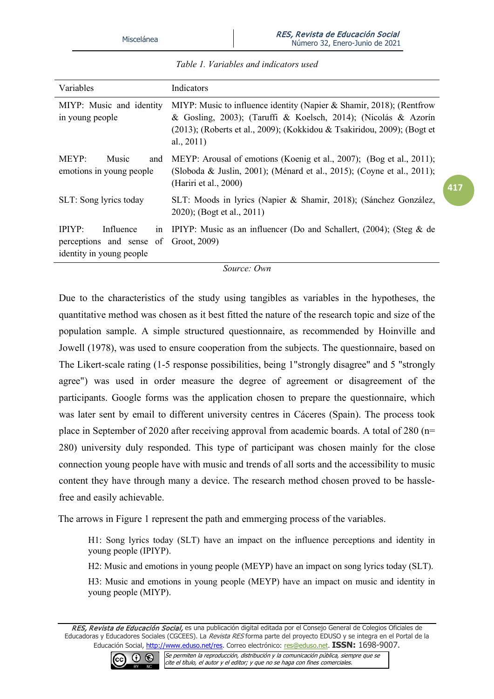| Variables                                                                                             | Indicators                                                                                                                                                                                                                         |
|-------------------------------------------------------------------------------------------------------|------------------------------------------------------------------------------------------------------------------------------------------------------------------------------------------------------------------------------------|
| MIYP: Music and identity<br>in young people                                                           | MIYP: Music to influence identity (Napier & Shamir, 2018); (Rentfrow<br>& Gosling, 2003); (Taruffi & Koelsch, 2014); (Nicolás & Azorín<br>(2013); (Roberts et al., 2009); (Kokkidou & Tsakiridou, 2009); (Bogt et<br>al., $2011$ ) |
| MEYP:<br>Music<br>and<br>emotions in young people                                                     | MEYP: Arousal of emotions (Koenig et al., 2007); (Bog et al., 2011);<br>(Sloboda & Juslin, 2001); (Ménard et al., 2015); (Coyne et al., 2011);<br>(Hariri et al., 2000)                                                            |
| SLT: Song lyrics today                                                                                | SLT: Moods in lyrics (Napier & Shamir, 2018); (Sánchez González,<br>2020); (Bogt et al., 2011)                                                                                                                                     |
| <b>IPIYP:</b><br>Influence<br>1n<br>perceptions and sense of Groot, 2009)<br>identity in young people | IPIYP: Music as an influencer (Do and Schallert, $(2004)$ ; (Steg & de                                                                                                                                                             |

*Table 1. Variables and indicators used*

#### *Source: Own*

Due to the characteristics of the study using tangibles as variables in the hypotheses, the quantitative method was chosen as it best fitted the nature of the research topic and size of the population sample. A simple structured questionnaire, as recommended by Hoinville and Jowell (1978), was used to ensure cooperation from the subjects. The questionnaire, based on The Likert-scale rating (1-5 response possibilities, being 1"strongly disagree" and 5 "strongly agree") was used in order measure the degree of agreement or disagreement of the participants. Google forms was the application chosen to prepare the questionnaire, which was later sent by email to different university centres in Cáceres (Spain). The process took place in September of 2020 after receiving approval from academic boards. A total of 280 (n= 280) university duly responded. This type of participant was chosen mainly for the close connection young people have with music and trends of all sorts and the accessibility to music content they have through many a device. The research method chosen proved to be hasslefree and easily achievable.

The arrows in Figure 1 represent the path and emmerging process of the variables.

H1: Song lyrics today (SLT) have an impact on the influence perceptions and identity in young people (IPIYP).

H2: Music and emotions in young people (MEYP) have an impact on song lyrics today (SLT).

H3: Music and emotions in young people (MEYP) have an impact on music and identity in young people (MIYP).

RES, Revista de Educación Social, es una publicación digital editada por el Consejo General de Colegios Oficiales de Educadoras y Educadores Sociales (CGCEES). La Revista RES forma parte del proyecto EDUSO y se integra en el Portal de la Educación Social, [http://www.eduso.net/res.](http://www.eduso.net/res) Correo electrónico: [res@eduso.net.](mailto:res@eduso.net) **ISSN:** 1698-9007.

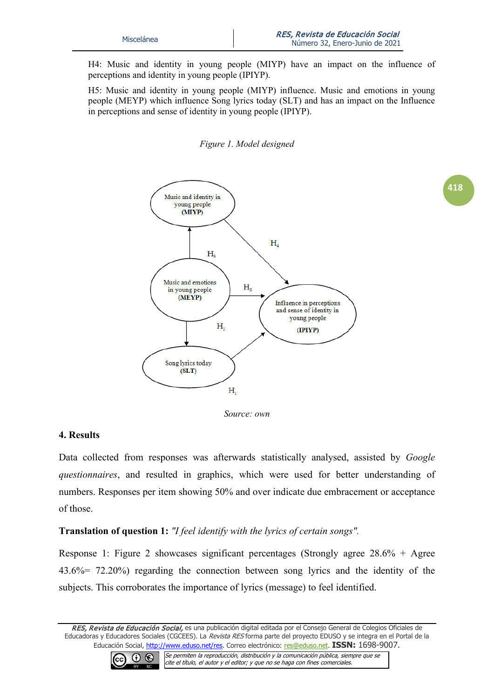H4: Music and identity in young people (MIYP) have an impact on the influence of perceptions and identity in young people (IPIYP).

H5: Music and identity in young people (MIYP) influence. Music and emotions in young people (MEYP) which influence Song lyrics today (SLT) and has an impact on the Influence in perceptions and sense of identity in young people (IPIYP).





*Source: own*

## **4. Results**

Data collected from responses was afterwards statistically analysed, assisted by *Google questionnaires*, and resulted in graphics, which were used for better understanding of numbers. Responses per item showing 50% and over indicate due embracement or acceptance of those.

# **Translation of question 1:** *"I feel identify with the lyrics of certain songs".*

Response 1: Figure 2 showcases significant percentages (Strongly agree 28.6% + Agree 43.6%= 72.20%) regarding the connection between song lyrics and the identity of the subjects. This corroborates the importance of lyrics (message) to feel identified.

RES, Revista de Educación Social, es una publicación digital editada por el Consejo General de Colegios Oficiales de Educadoras y Educadores Sociales (CGCEES). La Revista RES forma parte del proyecto EDUSO y se integra en el Portal de la Educación Social, [http://www.eduso.net/res.](http://www.eduso.net/res) Correo electrónico: [res@eduso.net.](mailto:res@eduso.net) **ISSN:** 1698-9007.

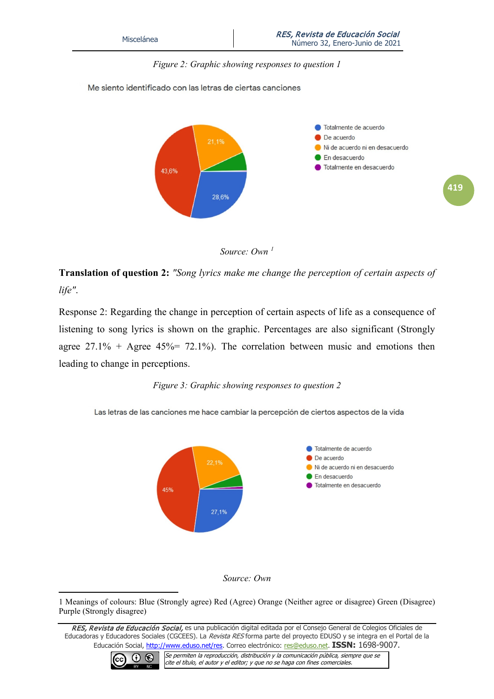*Figure 2: Graphic showing responses to question 1*

Me siento identificado con las letras de ciertas canciones





**Translation of question 2:** *"Song lyrics make me change the perception of certain aspects of life"*.

Response 2: Regarding the change in perception of certain aspects of life as a consequence of listening to song lyrics is shown on the graphic. Percentages are also significant (Strongly agree  $27.1\%$  + Agree  $45\%$  = 72.1%). The correlation between music and emotions then leading to change in perceptions.

### *Figure 3: Graphic showing responses to question 2*

Las letras de las canciones me hace cambiar la percepción de ciertos aspectos de la vida





<span id="page-6-0"></span><sup>1</sup> Meanings of colours: Blue (Strongly agree) Red (Agree) Orange (Neither agree or disagree) Green (Disagree) Purple (Strongly disagree)

RES, Revista de Educación Social, es una publicación digital editada por el Consejo General de Colegios Oficiales de Educadoras y Educadores Sociales (CGCEES). La Revista RES forma parte del proyecto EDUSO y se integra en el Portal de la Educación Social, [http://www.eduso.net/res.](http://www.eduso.net/res) Correo electrónico: [res@eduso.net.](mailto:res@eduso.net) **ISSN:** 1698-9007.

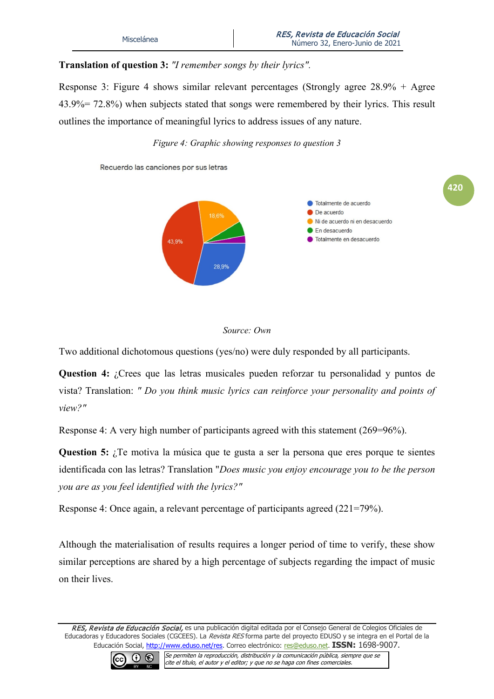**420**

# **Translation of question 3:** *"I remember songs by their lyrics".*

Response 3: Figure 4 shows similar relevant percentages (Strongly agree 28.9% + Agree 43.9%= 72.8%) when subjects stated that songs were remembered by their lyrics. This result outlines the importance of meaningful lyrics to address issues of any nature.

## *Figure 4: Graphic showing responses to question 3*





Two additional dichotomous questions (yes/no) were duly responded by all participants.

**Question 4:** ¿Crees que las letras musicales pueden reforzar tu personalidad y puntos de vista? Translation: *" Do you think music lyrics can reinforce your personality and points of view?"*

Response 4: A very high number of participants agreed with this statement (269=96%).

**Question 5:** *i*. Te motiva la música que te gusta a ser la persona que eres porque te sientes identificada con las letras? Translation "*Does music you enjoy encourage you to be the person you are as you feel identified with the lyrics?"* 

Response 4: Once again, a relevant percentage of participants agreed (221=79%).

Although the materialisation of results requires a longer period of time to verify, these show similar perceptions are shared by a high percentage of subjects regarding the impact of music on their lives.

RES, Revista de Educación Social, es una publicación digital editada por el Consejo General de Colegios Oficiales de Educadoras y Educadores Sociales (CGCEES). La Revista RES forma parte del proyecto EDUSO y se integra en el Portal de la Educación Social, [http://www.eduso.net/res.](http://www.eduso.net/res) Correo electrónico: [res@eduso.net.](mailto:res@eduso.net) **ISSN:** 1698-9007.

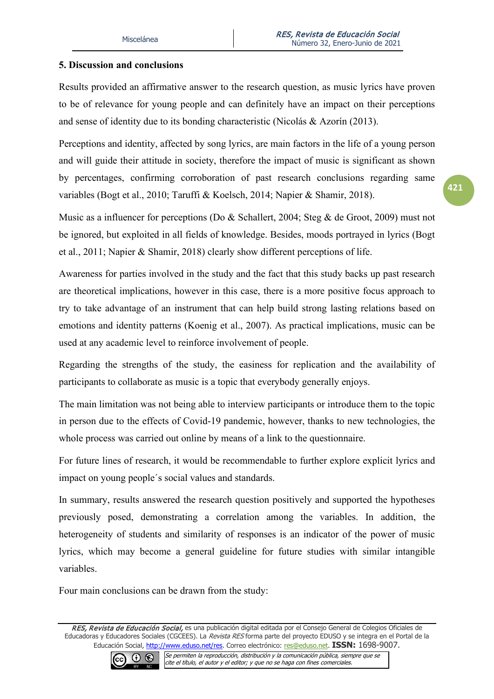## **5. Discussion and conclusions**

Results provided an affirmative answer to the research question, as music lyrics have proven to be of relevance for young people and can definitely have an impact on their perceptions and sense of identity due to its bonding characteristic (Nicolás & Azorín (2013).

Perceptions and identity, affected by song lyrics, are main factors in the life of a young person and will guide their attitude in society, therefore the impact of music is significant as shown by percentages, confirming corroboration of past research conclusions regarding same variables (Bogt et al., 2010; Taruffi & Koelsch, 2014; Napier & Shamir, 2018).

Music as a influencer for perceptions (Do & Schallert, 2004; Steg & de Groot, 2009) must not be ignored, but exploited in all fields of knowledge. Besides, moods portrayed in lyrics (Bogt et al., 2011; Napier & Shamir, 2018) clearly show different perceptions of life.

Awareness for parties involved in the study and the fact that this study backs up past research are theoretical implications, however in this case, there is a more positive focus approach to try to take advantage of an instrument that can help build strong lasting relations based on emotions and identity patterns (Koenig et al., 2007). As practical implications, music can be used at any academic level to reinforce involvement of people.

Regarding the strengths of the study, the easiness for replication and the availability of participants to collaborate as music is a topic that everybody generally enjoys.

The main limitation was not being able to interview participants or introduce them to the topic in person due to the effects of Covid-19 pandemic, however, thanks to new technologies, the whole process was carried out online by means of a link to the questionnaire.

For future lines of research, it would be recommendable to further explore explicit lyrics and impact on young people´s social values and standards.

In summary, results answered the research question positively and supported the hypotheses previously posed, demonstrating a correlation among the variables. In addition, the heterogeneity of students and similarity of responses is an indicator of the power of music lyrics, which may become a general guideline for future studies with similar intangible variables.

Four main conclusions can be drawn from the study:

RES, Revista de Educación Social, es una publicación digital editada por el Consejo General de Colegios Oficiales de Educadoras y Educadores Sociales (CGCEES). La Revista RES forma parte del proyecto EDUSO y se integra en el Portal de la Educación Social, [http://www.eduso.net/res.](http://www.eduso.net/res) Correo electrónico: [res@eduso.net.](mailto:res@eduso.net) **ISSN:** 1698-9007.

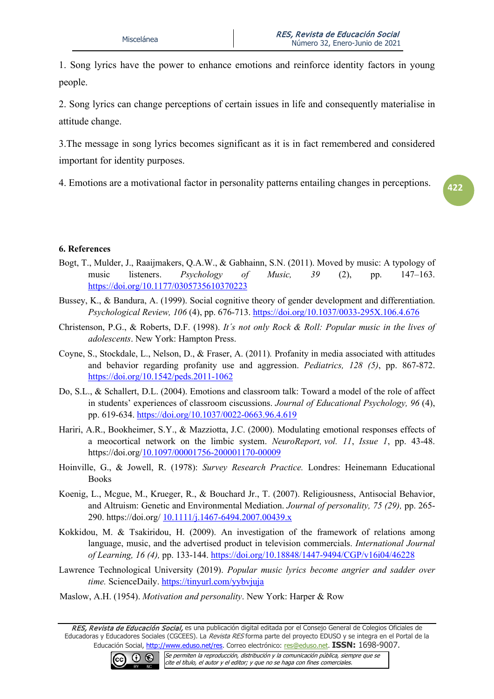1. Song lyrics have the power to enhance emotions and reinforce identity factors in young people.

2. Song lyrics can change perceptions of certain issues in life and consequently materialise in attitude change.

3.The message in song lyrics becomes significant as it is in fact remembered and considered important for identity purposes.

4. Emotions are a motivational factor in personality patterns entailing changes in perceptions.

**422**

## **6. References**

- Bogt, T., Mulder, J., Raaijmakers, Q.A.W., & Gabhainn, S.N. (2011). Moved by music: A typology of music listeners. *Psychology of Music, 39* (2), pp. 147–163. [https://doi.org/10.1177/0305735610370223](https://psycnet.apa.org/doi/10.1177/0305735610370223)
- Bussey, K., & Bandura, A. (1999). Social cognitive theory of gender development and differentiation. *Psychological Review, 106* (4), pp. 676-713.<https://doi.org/10.1037/0033-295X.106.4.676>
- Christenson, P.G., & Roberts, D.F. (1998). *It´s not only Rock & Roll: Popular music in the lives of adolescents*. New York: Hampton Press.
- Coyne, S., Stockdale, L., Nelson, D., & Fraser, A. (2011)*.* Profanity in media associated with attitudes and behavior regarding profanity use and aggression. *Pediatrics, 128 (5)*, pp. 867-872. <https://doi.org/10.1542/peds.2011-1062>
- Do, S.L., & Schallert, D.L. (2004). Emotions and classroom talk: Toward a model of the role of affect in students' experiences of classroom ciscussions. *Journal of Educational Psychology, 96* (4), pp. 619-634. [https://doi.org/10.1037/0022-0663.96.4.619](https://psycnet.apa.org/doi/10.1037/0022-0663.96.4.619)
- Hariri, A.R., Bookheimer, S.Y., & Mazziotta, J.C. (2000). Modulating emotional responses effects of a meocortical network on the limbic system. *NeuroReport, vol. 11*, *Issue 1*, pp. 43-48. https://doi.org[/10.1097/00001756-200001170-00009](https://doi.org/10.1097/00001756-200001170-00009)
- Hoinville, G., & Jowell, R. (1978): *Survey Research Practice.* Londres: Heinemann Educational Books
- Koenig, L., Mcgue, M., Krueger, R., & Bouchard Jr., T. (2007). Religiousness, Antisocial Behavior, and Altruism: Genetic and Environmental Mediation. *Journal of personality, 75 (29),* pp. 265- 290. https://doi.org/ [10.1111/j.1467-6494.2007.00439.x](https://www.researchgate.net/deref/http%3A%2F%2Fdx.doi.org%2F10.1111%2Fj.1467-6494.2007.00439.x)
- Kokkidou, M. & Tsakiridou, H. (2009). An investigation of the framework of relations among language, music, and the advertised product in television commercials. *International Journal of Learning, 16 (4),* pp. 133-144.<https://doi.org/10.18848/1447-9494/CGP/v16i04/46228>
- Lawrence Technological University (2019). *Popular music lyrics become angrier and sadder over time.* ScienceDaily.<https://tinyurl.com/yybvjuja>
- Maslow, A.H. (1954). *Motivation and personality*. New York: Harper & Row

RES, Revista de Educación Social, es una publicación digital editada por el Consejo General de Colegios Oficiales de Educadoras y Educadores Sociales (CGCEES). La Revista RES forma parte del proyecto EDUSO y se integra en el Portal de la Educación Social, [http://www.eduso.net/res.](http://www.eduso.net/res) Correo electrónico: [res@eduso.net.](mailto:res@eduso.net) **ISSN:** 1698-9007.